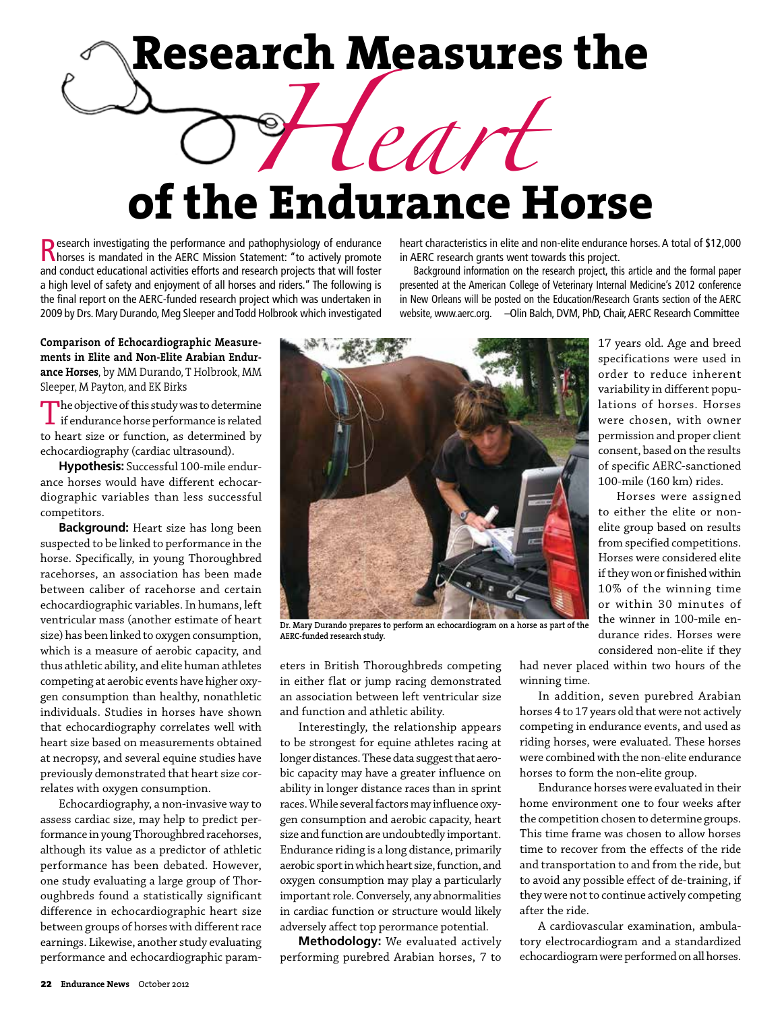## **Research Measures the**

## *Heart* **of the Endurance Horse**

Research investigating the performance and pathophysiology of endurance<br> **Research in the AERC Mission Statement:** "to actively promote and conduct educational activities efforts and research projects that will foster a high level of safety and enjoyment of all horses and riders." The following is the final report on the AERC-funded research project which was undertaken in 2009 by Drs. Mary Durando, Meg Sleeper and Todd Holbrook which investigated

**Comparison of Echocardiographic Measurements in Elite and Non-Elite Arabian Endurance Horses**, by MM Durando, T Holbrook, MM Sleeper, M Payton, and EK Birks

The objective of this study was to determine<br>if endurance horse performance is related to heart size or function, as determined by echocardiography (cardiac ultrasound).

**Hypothesis:** Successful 100-mile endurance horses would have different echocardiographic variables than less successful competitors.

**Background:** Heart size has long been suspected to be linked to performance in the horse. Specifically, in young Thoroughbred racehorses, an association has been made between caliber of racehorse and certain echocardiographic variables. In humans, left ventricular mass (another estimate of heart size) has been linked to oxygen consumption, which is a measure of aerobic capacity, and thus athletic ability, and elite human athletes competing at aerobic events have higher oxygen consumption than healthy, nonathletic individuals. Studies in horses have shown that echocardiography correlates well with heart size based on measurements obtained at necropsy, and several equine studies have previously demonstrated that heart size correlates with oxygen consumption.

Echocardiography, a non-invasive way to assess cardiac size, may help to predict performance in young Thoroughbred racehorses, although its value as a predictor of athletic performance has been debated. However, one study evaluating a large group of Thoroughbreds found a statistically significant difference in echocardiographic heart size between groups of horses with different race earnings. Likewise, another study evaluating performance and echocardiographic paramheart characteristics in elite and non-elite endurance horses. A total of \$12,000 in AERC research grants went towards this project.

Background information on the research project, this article and the formal paper presented at the American College of Veterinary Internal Medicine's 2012 conference in New Orleans will be posted on the Education/Research Grants section of the AERC website, www.aerc.org. – Olin Balch, DVM, PhD, Chair, AERC Research Committee



**Dr. Mary Durando prepares to perform an echocardiogram on a horse as part of the AERC-funded research study.**

eters in British Thoroughbreds competing in either flat or jump racing demonstrated an association between left ventricular size and function and athletic ability.

Interestingly, the relationship appears to be strongest for equine athletes racing at longer distances. These data suggest that aerobic capacity may have a greater influence on ability in longer distance races than in sprint races. While several factors may influence oxygen consumption and aerobic capacity, heart size and function are undoubtedly important. Endurance riding is a long distance, primarily aerobic sport in which heart size, function, and oxygen consumption may play a particularly important role. Conversely, any abnormalities in cardiac function or structure would likely adversely affect top perormance potential.

**Methodology:** We evaluated actively performing purebred Arabian horses, 7 to

considered non-elite if they had never placed within two hours of the winning time.

17 years old. Age and breed specifications were used in order to reduce inherent variability in different populations of horses. Horses were chosen, with owner permission and proper client consent, based on the results of specific AERC-sanctioned 100-mile (160 km) rides. Horses were assigned to either the elite or nonelite group based on results from specified competitions. Horses were considered elite if they won or finished within 10% of the winning time or within 30 minutes of the winner in 100-mile endurance rides. Horses were

In addition, seven purebred Arabian horses 4 to 17 years old that were not actively competing in endurance events, and used as riding horses, were evaluated. These horses were combined with the non-elite endurance horses to form the non-elite group.

Endurance horses were evaluated in their home environment one to four weeks after the competition chosen to determine groups. This time frame was chosen to allow horses time to recover from the effects of the ride and transportation to and from the ride, but to avoid any possible effect of de-training, if they were not to continue actively competing after the ride.

A cardiovascular examination, ambulatory electrocardiogram and a standardized echocardiogram were performed on all horses.